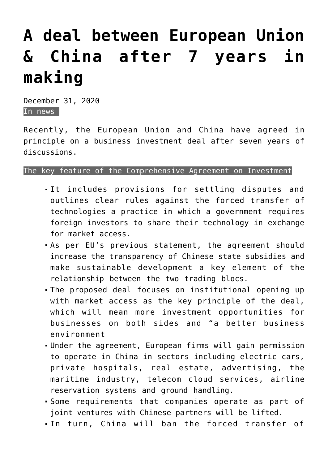## **[A deal between European Union](https://journalsofindia.com/a-deal-between-european-union-china-after-7-years-in-making/) [& China after 7 years in](https://journalsofindia.com/a-deal-between-european-union-china-after-7-years-in-making/) [making](https://journalsofindia.com/a-deal-between-european-union-china-after-7-years-in-making/)**

December 31, 2020 In news

Recently, the European Union and China have agreed in principle on a business investment deal after seven years of discussions.

## The key feature of the Comprehensive Agreement on Investment

- It includes provisions for settling disputes and outlines clear rules against the forced transfer of technologies a practice in which a government requires foreign investors to share their technology in exchange for market access.
- As per EU's previous statement, the agreement should increase the transparency of Chinese state subsidies and make sustainable development a key element of the relationship between the two trading blocs.
- The proposed deal focuses on institutional opening up with market access as the key principle of the deal, which will mean more investment opportunities for businesses on both sides and "a better business environment
- Under the agreement, European firms will gain permission to operate in China in sectors including electric cars, private hospitals, real estate, advertising, the maritime industry, telecom cloud services, airline reservation systems and ground handling.
- Some requirements that companies operate as part of joint ventures with Chinese partners will be lifted.
- In turn, China will ban the forced transfer of